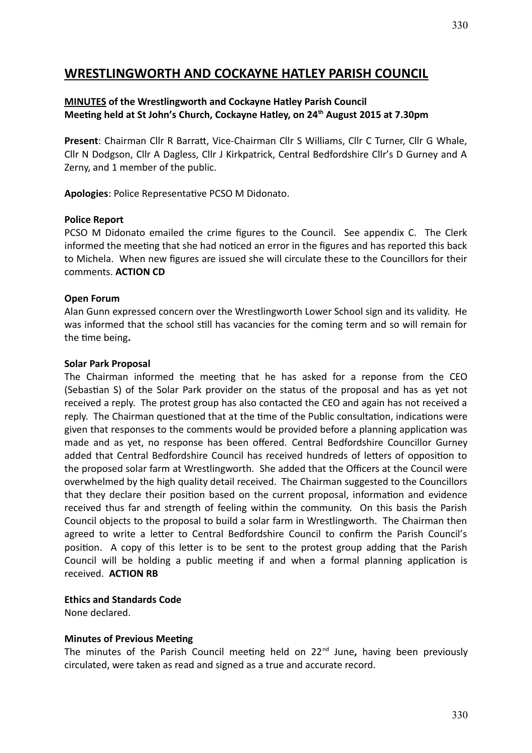# **WRESTLINGWORTH AND COCKAYNE HATLEY PARISH COUNCIL**

#### **MINUTES of the Wrestlingworth and Cockayne Hatley Parish Council Meeting held at St John's Church, Cockayne Hatley, on 24th August 2015 at 7.30pm**

**Present**: Chairman Cllr R Barratt, Vice-Chairman Cllr S Williams, Cllr C Turner, Cllr G Whale, Cllr N Dodgson, Cllr A Dagless, Cllr J Kirkpatrick, Central Bedfordshire Cllr's D Gurney and A Zerny, and 1 member of the public.

**Apologies**: Police Representative PCSO M Didonato.

#### **Police Report**

PCSO M Didonato emailed the crime figures to the Council. See appendix C. The Clerk informed the meeting that she had noticed an error in the figures and has reported this back to Michela. When new figures are issued she will circulate these to the Councillors for their comments. **ACTION CD**

#### **Open Forum**

Alan Gunn expressed concern over the Wrestlingworth Lower School sign and its validity. He was informed that the school still has vacancies for the coming term and so will remain for the time being**.**

#### **Solar Park Proposal**

The Chairman informed the meeting that he has asked for a reponse from the CEO (Sebastian S) of the Solar Park provider on the status of the proposal and has as yet not received a reply. The protest group has also contacted the CEO and again has not received a reply. The Chairman questioned that at the time of the Public consultation, indications were given that responses to the comments would be provided before a planning application was made and as yet, no response has been offered. Central Bedfordshire Councillor Gurney added that Central Bedfordshire Council has received hundreds of letters of opposition to the proposed solar farm at Wrestlingworth. She added that the Officers at the Council were overwhelmed by the high quality detail received. The Chairman suggested to the Councillors that they declare their position based on the current proposal, information and evidence received thus far and strength of feeling within the community. On this basis the Parish Council objects to the proposal to build a solar farm in Wrestlingworth. The Chairman then agreed to write a letter to Central Bedfordshire Council to confirm the Parish Council's position. A copy of this letter is to be sent to the protest group adding that the Parish Council will be holding a public meeting if and when a formal planning application is received. **ACTION RB**

#### **Ethics and Standards Code**

None declared.

#### **Minutes of Previous Meeting**

The minutes of the Parish Council meeting held on 22nd June**,** having been previously circulated, were taken as read and signed as a true and accurate record.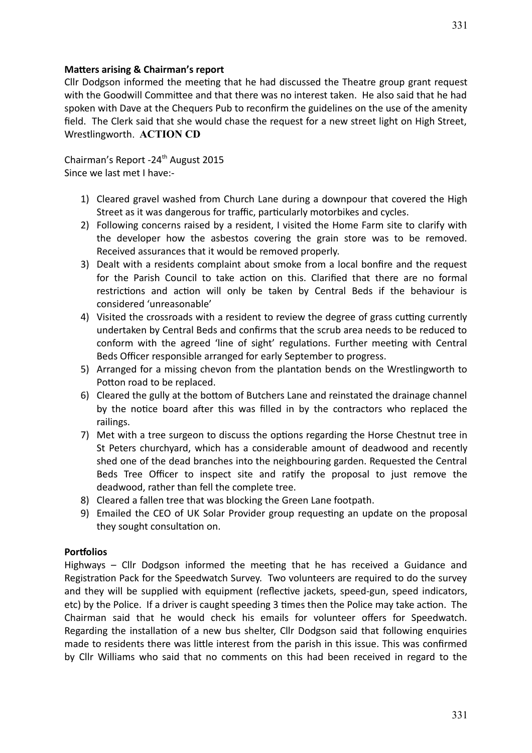#### **Matters arising & Chairman's report**

Cllr Dodgson informed the meeting that he had discussed the Theatre group grant request with the Goodwill Committee and that there was no interest taken. He also said that he had spoken with Dave at the Chequers Pub to reconfirm the guidelines on the use of the amenity field. The Clerk said that she would chase the request for a new street light on High Street, Wrestlingworth. **ACTION CD**

Chairman's Report -24<sup>th</sup> August 2015 Since we last met I have:-

- 1) Cleared gravel washed from Church Lane during a downpour that covered the High Street as it was dangerous for traffic, particularly motorbikes and cycles.
- 2) Following concerns raised by a resident, I visited the Home Farm site to clarify with the developer how the asbestos covering the grain store was to be removed. Received assurances that it would be removed properly.
- 3) Dealt with a residents complaint about smoke from a local bonfire and the request for the Parish Council to take action on this. Clarified that there are no formal restrictions and action will only be taken by Central Beds if the behaviour is considered 'unreasonable'
- 4) Visited the crossroads with a resident to review the degree of grass cutting currently undertaken by Central Beds and confirms that the scrub area needs to be reduced to conform with the agreed 'line of sight' regulations. Further meeting with Central Beds Officer responsible arranged for early September to progress.
- 5) Arranged for a missing chevon from the plantation bends on the Wrestlingworth to Potton road to be replaced.
- 6) Cleared the gully at the bottom of Butchers Lane and reinstated the drainage channel by the notice board after this was filled in by the contractors who replaced the railings.
- 7) Met with a tree surgeon to discuss the options regarding the Horse Chestnut tree in St Peters churchyard, which has a considerable amount of deadwood and recently shed one of the dead branches into the neighbouring garden. Requested the Central Beds Tree Officer to inspect site and ratify the proposal to just remove the deadwood, rather than fell the complete tree.
- 8) Cleared a fallen tree that was blocking the Green Lane footpath.
- 9) Emailed the CEO of UK Solar Provider group requesting an update on the proposal they sought consultation on.

#### **Portfolios**

Highways – Cllr Dodgson informed the meeting that he has received a Guidance and Registration Pack for the Speedwatch Survey. Two volunteers are required to do the survey and they will be supplied with equipment (reflective jackets, speed-gun, speed indicators, etc) by the Police. If a driver is caught speeding 3 times then the Police may take action. The Chairman said that he would check his emails for volunteer offers for Speedwatch. Regarding the installation of a new bus shelter, Cllr Dodgson said that following enquiries made to residents there was little interest from the parish in this issue. This was confirmed by Cllr Williams who said that no comments on this had been received in regard to the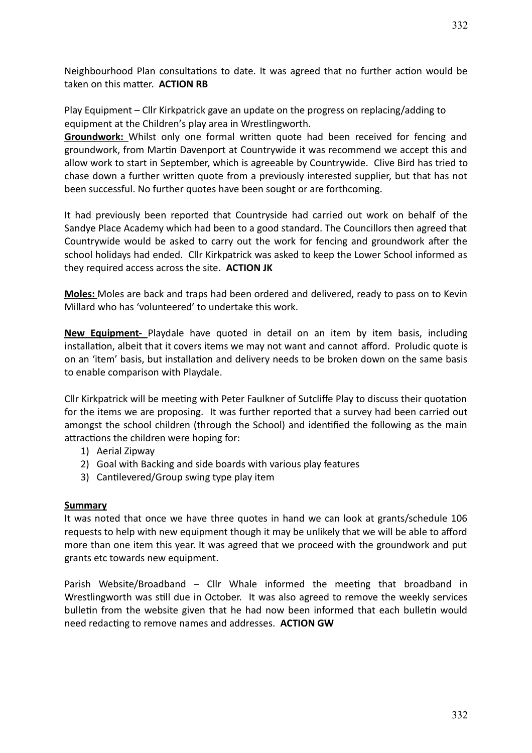Neighbourhood Plan consultations to date. It was agreed that no further action would be taken on this matter. **ACTION RB**

Play Equipment – Cllr Kirkpatrick gave an update on the progress on replacing/adding to equipment at the Children's play area in Wrestlingworth.

**Groundwork:** Whilst only one formal written quote had been received for fencing and groundwork, from Martin Davenport at Countrywide it was recommend we accept this and allow work to start in September, which is agreeable by Countrywide. Clive Bird has tried to chase down a further written quote from a previously interested supplier, but that has not been successful. No further quotes have been sought or are forthcoming.

It had previously been reported that Countryside had carried out work on behalf of the Sandye Place Academy which had been to a good standard. The Councillors then agreed that Countrywide would be asked to carry out the work for fencing and groundwork after the school holidays had ended. Cllr Kirkpatrick was asked to keep the Lower School informed as they required access across the site. **ACTION JK**

 **Moles:** Moles are back and traps had been ordered and delivered, ready to pass on to Kevin Millard who has 'volunteered' to undertake this work.

**New Equipment-** Playdale have quoted in detail on an item by item basis, including installation, albeit that it covers items we may not want and cannot afford. Proludic quote is on an 'item' basis, but installation and delivery needs to be broken down on the same basis to enable comparison with Playdale.

Cllr Kirkpatrick will be meeting with Peter Faulkner of Sutcliffe Play to discuss their quotation for the items we are proposing. It was further reported that a survey had been carried out amongst the school children (through the School) and identified the following as the main attractions the children were hoping for:

- 1) Aerial Zipway
- 2) Goal with Backing and side boards with various play features
- 3) Cantilevered/Group swing type play item

#### **Summary**

It was noted that once we have three quotes in hand we can look at grants/schedule 106 requests to help with new equipment though it may be unlikely that we will be able to afford more than one item this year. It was agreed that we proceed with the groundwork and put grants etc towards new equipment.

Parish Website/Broadband – Cllr Whale informed the meeting that broadband in Wrestlingworth was still due in October. It was also agreed to remove the weekly services bulletin from the website given that he had now been informed that each bulletin would need redacting to remove names and addresses. **ACTION GW**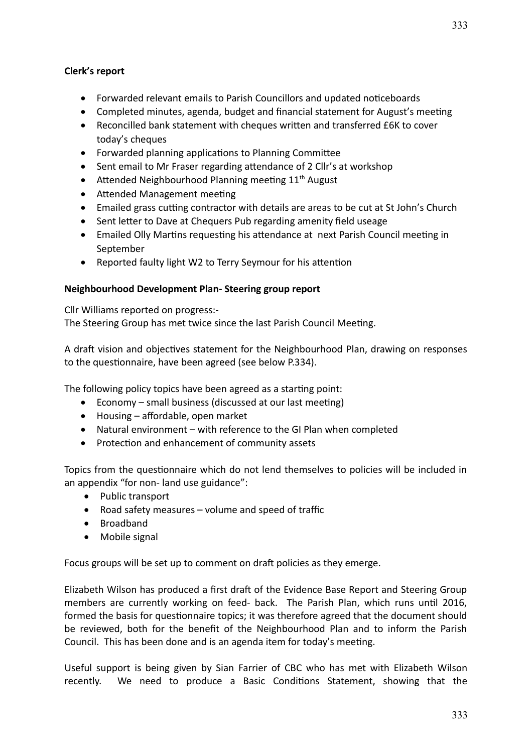## **Clerk's report**

- Forwarded relevant emails to Parish Councillors and updated noticeboards
- Completed minutes, agenda, budget and financial statement for August's meeting
- Reconcilled bank statement with cheques written and transferred £6K to cover today's cheques
- Forwarded planning applications to Planning Committee
- Sent email to Mr Fraser regarding attendance of 2 Cllr's at workshop
- $\bullet$  Attended Neighbourhood Planning meeting 11<sup>th</sup> August
- Attended Management meeting
- Emailed grass cutting contractor with details are areas to be cut at St John's Church
- Sent letter to Dave at Chequers Pub regarding amenity field useage
- Emailed Olly Martins requesting his attendance at next Parish Council meeting in September
- Reported faulty light W2 to Terry Seymour for his attention

## **Neighbourhood Development Plan- Steering group report**

Cllr Williams reported on progress:- The Steering Group has met twice since the last Parish Council Meeting.

A draft vision and objectives statement for the Neighbourhood Plan, drawing on responses to the questionnaire, have been agreed (see below P.334).

The following policy topics have been agreed as a starting point:

- Economy small business (discussed at our last meeting)
- Housing affordable, open market
- Natural environment with reference to the GI Plan when completed
- Protection and enhancement of community assets

Topics from the questionnaire which do not lend themselves to policies will be included in an appendix "for non- land use guidance":

- Public transport
- Road safety measures volume and speed of traffic
- Broadband
- Mobile signal

Focus groups will be set up to comment on draft policies as they emerge.

Elizabeth Wilson has produced a first draft of the Evidence Base Report and Steering Group members are currently working on feed- back. The Parish Plan, which runs until 2016, formed the basis for questionnaire topics; it was therefore agreed that the document should be reviewed, both for the benefit of the Neighbourhood Plan and to inform the Parish Council. This has been done and is an agenda item for today's meeting.

Useful support is being given by Sian Farrier of CBC who has met with Elizabeth Wilson recently. We need to produce a Basic Conditions Statement, showing that the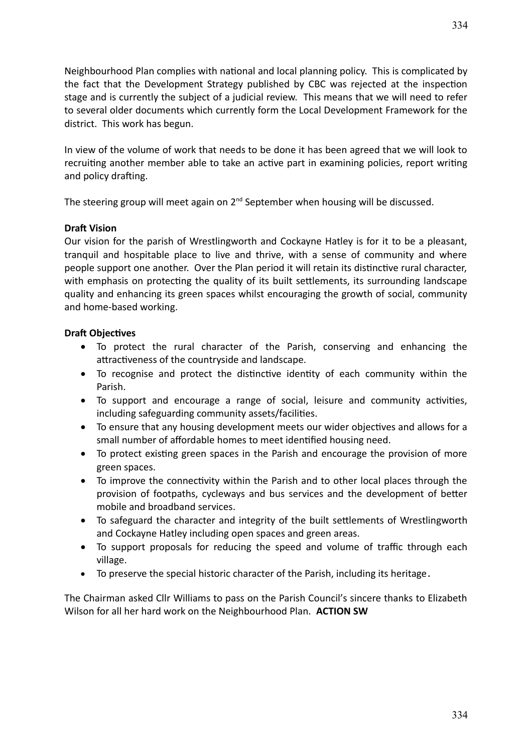Neighbourhood Plan complies with national and local planning policy. This is complicated by the fact that the Development Strategy published by CBC was rejected at the inspection stage and is currently the subject of a judicial review. This means that we will need to refer to several older documents which currently form the Local Development Framework for the district. This work has begun.

In view of the volume of work that needs to be done it has been agreed that we will look to recruiting another member able to take an active part in examining policies, report writing and policy drafting.

The steering group will meet again on  $2^{nd}$  September when housing will be discussed.

### **Draft Vision**

Our vision for the parish of Wrestlingworth and Cockayne Hatley is for it to be a pleasant, tranquil and hospitable place to live and thrive, with a sense of community and where people support one another. Over the Plan period it will retain its distinctive rural character, with emphasis on protecting the quality of its built settlements, its surrounding landscape quality and enhancing its green spaces whilst encouraging the growth of social, community and home-based working.

#### **Draft Objectives**

- To protect the rural character of the Parish, conserving and enhancing the attractiveness of the countryside and landscape.
- To recognise and protect the distinctive identity of each community within the Parish.
- To support and encourage a range of social, leisure and community activities, including safeguarding community assets/facilities.
- To ensure that any housing development meets our wider objectives and allows for a small number of affordable homes to meet identified housing need.
- To protect existing green spaces in the Parish and encourage the provision of more green spaces.
- To improve the connectivity within the Parish and to other local places through the provision of footpaths, cycleways and bus services and the development of better mobile and broadband services.
- To safeguard the character and integrity of the built settlements of Wrestlingworth and Cockayne Hatley including open spaces and green areas.
- To support proposals for reducing the speed and volume of traffic through each village.
- To preserve the special historic character of the Parish, including its heritage.

The Chairman asked Cllr Williams to pass on the Parish Council's sincere thanks to Elizabeth Wilson for all her hard work on the Neighbourhood Plan. **ACTION SW**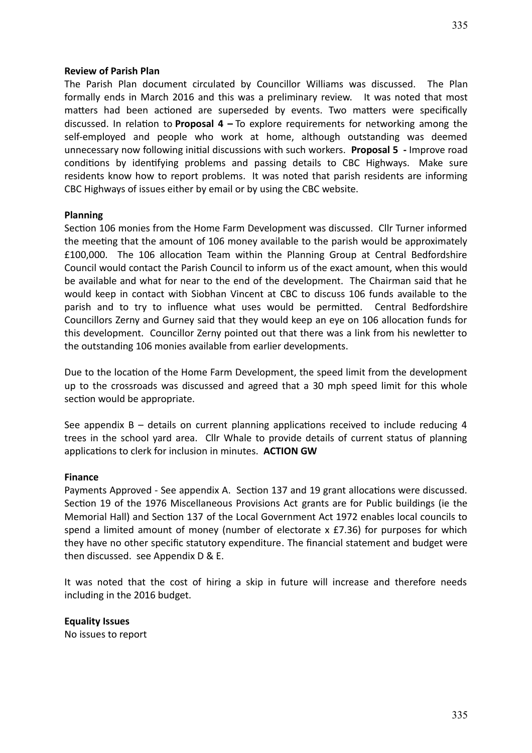The Parish Plan document circulated by Councillor Williams was discussed. The Plan formally ends in March 2016 and this was a preliminary review. It was noted that most matters had been actioned are superseded by events. Two matters were specifically discussed. In relation to **Proposal 4 –** To explore requirements for networking among the self-employed and people who work at home, although outstanding was deemed unnecessary now following initial discussions with such workers. **Proposal 5 -** Improve road conditions by identifying problems and passing details to CBC Highways. Make sure residents know how to report problems. It was noted that parish residents are informing CBC Highways of issues either by email or by using the CBC website.

#### **Planning**

Section 106 monies from the Home Farm Development was discussed. Cllr Turner informed the meeting that the amount of 106 money available to the parish would be approximately £100,000. The 106 allocation Team within the Planning Group at Central Bedfordshire Council would contact the Parish Council to inform us of the exact amount, when this would be available and what for near to the end of the development. The Chairman said that he would keep in contact with Siobhan Vincent at CBC to discuss 106 funds available to the parish and to try to influence what uses would be permitted. Central Bedfordshire Councillors Zerny and Gurney said that they would keep an eye on 106 allocation funds for this development. Councillor Zerny pointed out that there was a link from his newletter to the outstanding 106 monies available from earlier developments.

Due to the location of the Home Farm Development, the speed limit from the development up to the crossroads was discussed and agreed that a 30 mph speed limit for this whole section would be appropriate.

See appendix B – details on current planning applications received to include reducing 4 trees in the school yard area. Cllr Whale to provide details of current status of planning applications to clerk for inclusion in minutes. **ACTION GW**

#### **Finance**

Payments Approved - See appendix A. Section 137 and 19 grant allocations were discussed. Section 19 of the 1976 Miscellaneous Provisions Act grants are for Public buildings (ie the Memorial Hall) and Section 137 of the Local Government Act 1972 enables local councils to spend a limited amount of money (number of electorate x £7.36) for purposes for which they have no other specific statutory expenditure. The financial statement and budget were then discussed. see Appendix D & E.

It was noted that the cost of hiring a skip in future will increase and therefore needs including in the 2016 budget.

**Equality Issues** No issues to report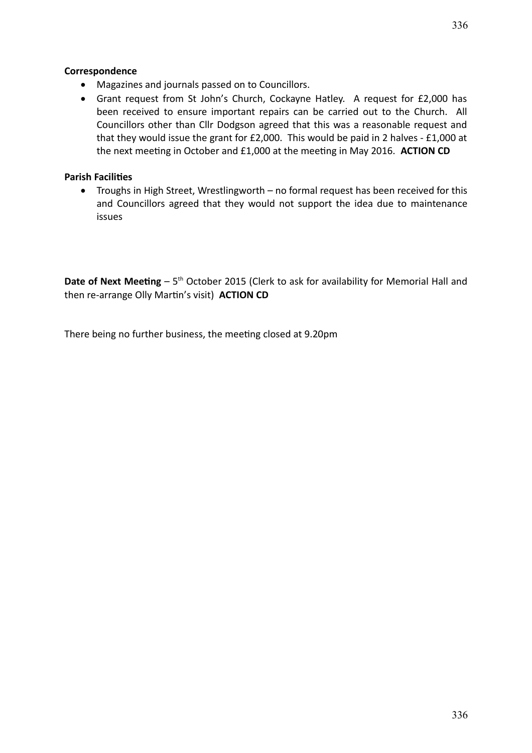## **Correspondence**

- Magazines and journals passed on to Councillors.
- Grant request from St John's Church, Cockayne Hatley. A request for £2,000 has been received to ensure important repairs can be carried out to the Church. All Councillors other than Cllr Dodgson agreed that this was a reasonable request and that they would issue the grant for £2,000. This would be paid in 2 halves - £1,000 at the next meeting in October and £1,000 at the meeting in May 2016. **ACTION CD**

## **Parish Facilities**

 Troughs in High Street, Wrestlingworth – no formal request has been received for this and Councillors agreed that they would not support the idea due to maintenance issues

**Date of Next Meeting** – 5<sup>th</sup> October 2015 (Clerk to ask for availability for Memorial Hall and then re-arrange Olly Martin's visit) **ACTION CD**

There being no further business, the meeting closed at 9.20pm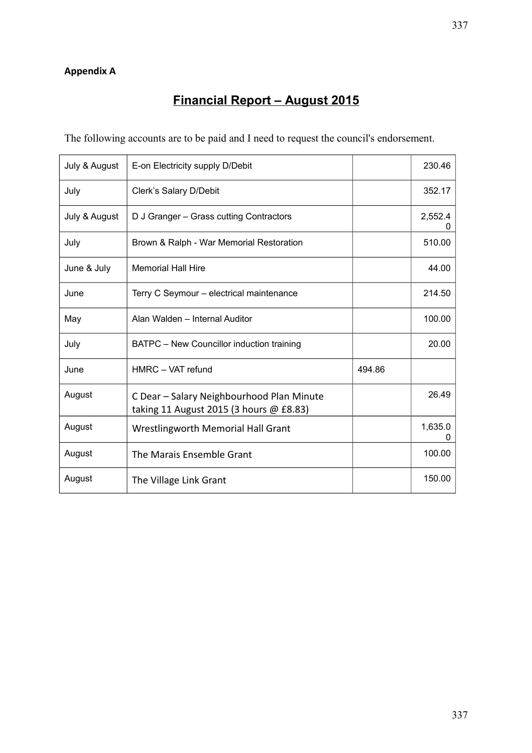# **Appendix A**

# **Financial Report – August 2015**

The following accounts are to be paid and I need to request the council's endorsement.

| July & August | E-on Electricity supply D/Debit                                                      |        | 230.46       |
|---------------|--------------------------------------------------------------------------------------|--------|--------------|
| July          | Clerk's Salary D/Debit                                                               |        | 352.17       |
| July & August | D J Granger - Grass cutting Contractors                                              |        | 2,552.4<br>0 |
| July          | Brown & Ralph - War Memorial Restoration                                             |        | 510.00       |
| June & July   | <b>Memorial Hall Hire</b>                                                            |        | 44.00        |
| June          | Terry C Seymour - electrical maintenance                                             |        | 214.50       |
| May           | Alan Walden - Internal Auditor                                                       |        | 100.00       |
| July          | BATPC - New Councillor induction training                                            |        | 20.00        |
| June          | HMRC - VAT refund                                                                    | 494.86 |              |
| August        | C Dear - Salary Neighbourhood Plan Minute<br>taking 11 August 2015 (3 hours @ £8.83) |        | 26.49        |
| August        | <b>Wrestlingworth Memorial Hall Grant</b>                                            |        | 1,635.0      |
| August        | The Marais Ensemble Grant                                                            |        | 100.00       |
| August        | The Village Link Grant                                                               |        | 150.00       |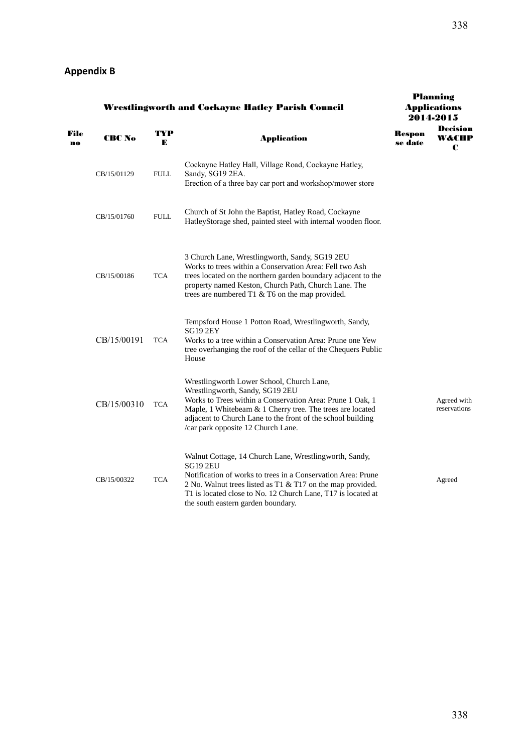| <b>Wrestlingworth and Cockayne Hatley Parish Council</b> |             |             |                                                                                                                                                                                                                                                                                                               |                   | Planning<br><b>Applications</b><br>2014-2015 |
|----------------------------------------------------------|-------------|-------------|---------------------------------------------------------------------------------------------------------------------------------------------------------------------------------------------------------------------------------------------------------------------------------------------------------------|-------------------|----------------------------------------------|
| File<br>no                                               | CRC No      | TYP<br>E    | <b>Application</b>                                                                                                                                                                                                                                                                                            | Respon<br>se date | <b>Decision</b><br>W&CHP<br>C                |
|                                                          | CB/15/01129 | <b>FULL</b> | Cockayne Hatley Hall, Village Road, Cockayne Hatley,<br>Sandy, SG19 2EA.<br>Erection of a three bay car port and workshop/mower store                                                                                                                                                                         |                   |                                              |
|                                                          | CB/15/01760 | <b>FULL</b> | Church of St John the Baptist, Hatley Road, Cockayne<br>HatleyStorage shed, painted steel with internal wooden floor.                                                                                                                                                                                         |                   |                                              |
|                                                          | CB/15/00186 | TCA         | 3 Church Lane, Wrestlingworth, Sandy, SG19 2EU<br>Works to trees within a Conservation Area: Fell two Ash<br>trees located on the northern garden boundary adjacent to the<br>property named Keston, Church Path, Church Lane. The<br>trees are numbered T1 & T6 on the map provided.                         |                   |                                              |
|                                                          | CB/15/00191 | <b>TCA</b>  | Tempsford House 1 Potton Road, Wrestlingworth, Sandy,<br><b>SG19 2EY</b><br>Works to a tree within a Conservation Area: Prune one Yew<br>tree overhanging the roof of the cellar of the Chequers Public<br>House                                                                                              |                   |                                              |
|                                                          | CB/15/00310 | <b>TCA</b>  | Wrestlingworth Lower School, Church Lane,<br>Wrestlingworth, Sandy, SG19 2EU<br>Works to Trees within a Conservation Area: Prune 1 Oak, 1<br>Maple, 1 Whitebeam & 1 Cherry tree. The trees are located<br>adjacent to Church Lane to the front of the school building<br>/car park opposite 12 Church Lane.   |                   | Agreed with<br>reservations                  |
|                                                          | CB/15/00322 | <b>TCA</b>  | Walnut Cottage, 14 Church Lane, Wrestlingworth, Sandy,<br><b>SG19 2EU</b><br>Notification of works to trees in a Conservation Area: Prune<br>2 No. Walnut trees listed as T1 & T17 on the map provided.<br>T1 is located close to No. 12 Church Lane, T17 is located at<br>the south eastern garden boundary. |                   | Agreed                                       |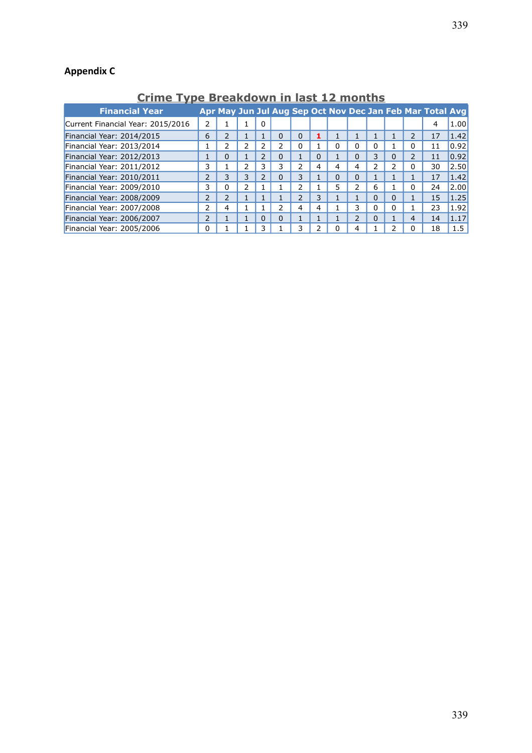# **Appendix C**

**Crime Type Breakdown in last 12 months**

| <b>Financial Year</b>             |                |               |   |                          |          |          |          |          |               |          |                | Apr May Jun Jul Aug Sep Oct Nov Dec Jan Feb Mar Total Avg |         |
|-----------------------------------|----------------|---------------|---|--------------------------|----------|----------|----------|----------|---------------|----------|----------------|-----------------------------------------------------------|---------|
| Current Financial Year: 2015/2016 | 2              |               |   | 0                        |          |          |          |          |               |          |                | 4                                                         | 1.00    |
| Financial Year: 2014/2015         | 6              | 2             |   |                          | $\Omega$ | $\Omega$ |          |          |               |          | $\overline{2}$ | 17                                                        | 1.42    |
| Financial Year: 2013/2014         |                | ኀ             | ר | ว                        | ว        | 0        |          | 0        | 0             | $\Omega$ | 0              | 11                                                        | 0.92    |
| Financial Year: 2012/2013         |                | $\Omega$      |   | $\overline{\phantom{a}}$ | $\Omega$ |          | $\Omega$ |          | $\Omega$      | 3        | $\overline{2}$ | 11                                                        | 0.92    |
| Financial Year: 2011/2012         | 3              |               | 2 | 3                        | 3        | 2        | 4        | 4        | 4             | 2        | $\Omega$       | 30                                                        | 2.50    |
| Financial Year: 2010/2011         | $\overline{2}$ | 3             | 3 | $\overline{\phantom{a}}$ | $\Omega$ | 3        |          | $\Omega$ | $\Omega$      |          | 1              | 17                                                        | 1.42    |
| Financial Year: 2009/2010         | 3              | 0             | 2 |                          |          | า        |          | 5        | ำ             | 6        | $\Omega$       | 24                                                        | 2.00    |
| Financial Year: 2008/2009         | $\overline{2}$ | $\mathcal{P}$ |   |                          |          | 2        | 3        |          |               | $\Omega$ | 1              | 15                                                        | 1.25    |
| Financial Year: 2007/2008         | 2              | 4             |   |                          | 2        | 4        | 4        |          | 3             | 0        |                | 23                                                        | 1.92    |
| Financial Year: 2006/2007         | 2              |               |   | $\Omega$                 | $\Omega$ |          |          |          | $\mathcal{P}$ | $\Omega$ | 4              | 14                                                        | 1.17    |
| Financial Year: 2005/2006         | 0              |               |   |                          |          | 3        |          | ŋ        | 4             |          | O              | 18                                                        | $1.5\,$ |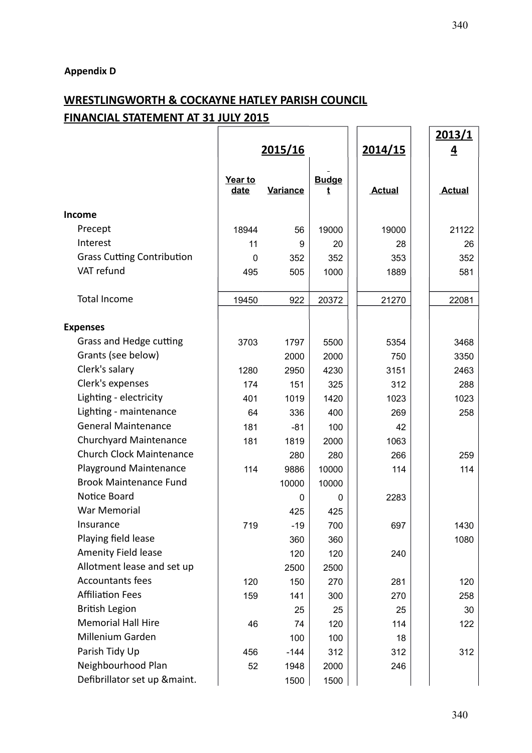## **WRESTLINGWORTH & COCKAYNE HATLEY PARISH COUNCIL FINANCIAL STATEMENT AT 31 JULY 2015**  $\overline{1}$   $\overline{1}$

|                                   |                 |                 |                   |               | <u> 2013/1</u> |
|-----------------------------------|-----------------|-----------------|-------------------|---------------|----------------|
|                                   | <u>2015/16</u>  |                 |                   | 2014/15       | $\overline{4}$ |
|                                   | Year to<br>date | <b>Variance</b> | <b>Budge</b><br>t | <b>Actual</b> | <b>Actual</b>  |
| Income                            |                 |                 |                   |               |                |
| Precept                           | 18944           | 56              | 19000             | 19000         | 21122          |
| Interest                          | 11              | 9               | 20                | 28            | 26             |
| <b>Grass Cutting Contribution</b> | $\mathbf 0$     | 352             | 352               | 353           | 352            |
| VAT refund                        | 495             | 505             | 1000              | 1889          | 581            |
| Total Income                      | 19450           | 922             | 20372             | 21270         | 22081          |
| <b>Expenses</b>                   |                 |                 |                   |               |                |
| Grass and Hedge cutting           | 3703            | 1797            | 5500              | 5354          | 3468           |
| Grants (see below)                |                 | 2000            | 2000              | 750           | 3350           |
| Clerk's salary                    | 1280            | 2950            | 4230              | 3151          | 2463           |
| Clerk's expenses                  | 174             | 151             | 325               | 312           | 288            |
| Lighting - electricity            | 401             | 1019            | 1420              | 1023          | 1023           |
| Lighting - maintenance            | 64              | 336             | 400               | 269           | 258            |
| <b>General Maintenance</b>        | 181             | $-81$           | 100               | 42            |                |
| <b>Churchyard Maintenance</b>     | 181             | 1819            | 2000              | 1063          |                |
| <b>Church Clock Maintenance</b>   |                 | 280             | 280               | 266           | 259            |
| <b>Playground Maintenance</b>     | 114             | 9886            | 10000             | 114           | 114            |
| <b>Brook Maintenance Fund</b>     |                 | 10000           | 10000             |               |                |
| Notice Board                      |                 | 0               | 0                 | 2283          |                |
| <b>War Memorial</b>               |                 | 425             | 425               |               |                |
| Insurance                         | 719             | $-19$           | 700               | 697           | 1430           |
| Playing field lease               |                 | 360             | 360               |               | 1080           |
| Amenity Field lease               |                 | 120             | 120               | 240           |                |
| Allotment lease and set up        |                 | 2500            | 2500              |               |                |
| <b>Accountants fees</b>           | 120             | 150             | 270               | 281           | 120            |
| <b>Affiliation Fees</b>           | 159             | 141             | 300               | 270           | 258            |
| <b>British Legion</b>             |                 | 25              | 25                | 25            | 30             |
| <b>Memorial Hall Hire</b>         | 46              | 74              | 120               | 114           | 122            |
| Millenium Garden                  |                 | 100             | 100               | 18            |                |
| Parish Tidy Up                    | 456             | $-144$          | 312               | 312           | 312            |
| Neighbourhood Plan                | 52              | 1948            | 2000              | 246           |                |
| Defibrillator set up &maint.      |                 | 1500            | 1500              |               |                |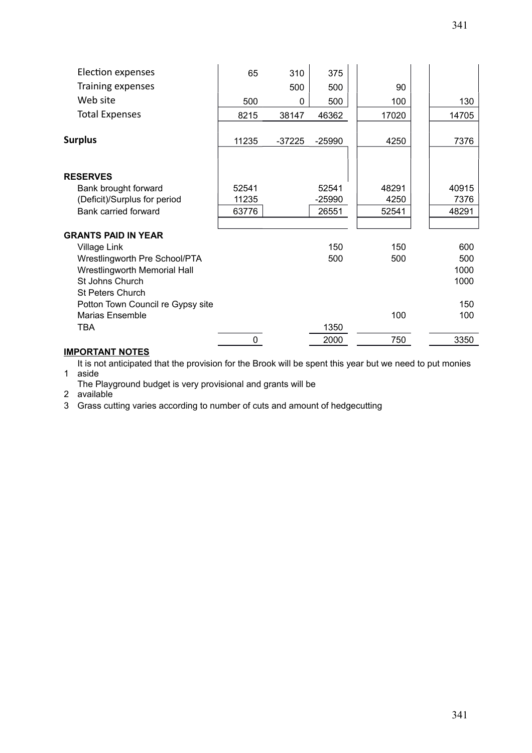| Election expenses                   | 65    | 310      | 375      |       |       |
|-------------------------------------|-------|----------|----------|-------|-------|
| Training expenses                   |       | 500      | 500      | 90    |       |
| Web site                            | 500   | 0        | 500      | 100   | 130   |
| <b>Total Expenses</b>               | 8215  | 38147    | 46362    | 17020 | 14705 |
| <b>Surplus</b>                      | 11235 | $-37225$ | $-25990$ | 4250  | 7376  |
|                                     |       |          |          |       |       |
| <b>RESERVES</b>                     |       |          |          |       |       |
| Bank brought forward                | 52541 |          | 52541    | 48291 | 40915 |
| (Deficit)/Surplus for period        | 11235 |          | -25990   | 4250  | 7376  |
| Bank carried forward                | 63776 |          | 26551    | 52541 | 48291 |
|                                     |       |          |          |       |       |
| <b>GRANTS PAID IN YEAR</b>          |       |          |          |       |       |
| Village Link                        |       |          | 150      | 150   | 600   |
| Wrestlingworth Pre School/PTA       |       |          | 500      | 500   | 500   |
| <b>Wrestlingworth Memorial Hall</b> |       |          |          |       | 1000  |
| St Johns Church                     |       |          |          |       | 1000  |
| <b>St Peters Church</b>             |       |          |          |       |       |
| Potton Town Council re Gypsy site   |       |          |          |       | 150   |
| <b>Marias Ensemble</b>              |       |          |          | 100   | 100   |
| TBA                                 |       |          | 1350     |       |       |
|                                     | 0     |          | 2000     | 750   | 3350  |

#### **IMPORTANT NOTES**

1 aside It is not anticipated that the provision for the Brook will be spent this year but we need to put monies

The Playground budget is very provisional and grants will be

2 available

3 Grass cutting varies according to number of cuts and amount of hedgecutting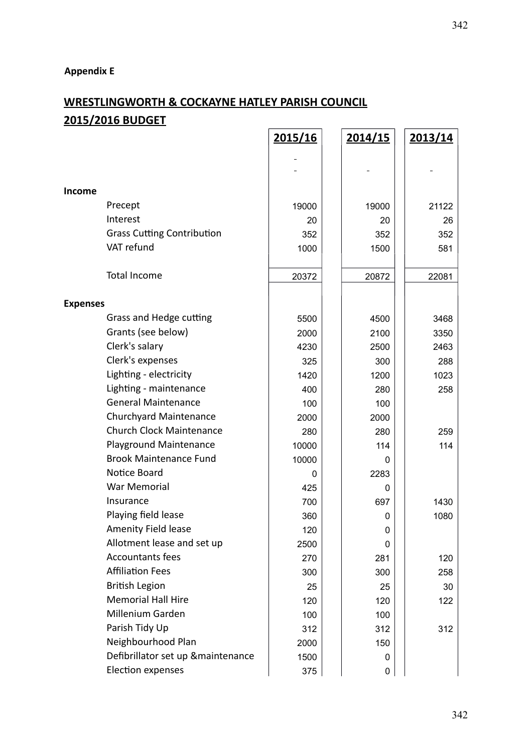# **Appendix E**

# **WRESTLINGWORTH & COCKAYNE HATLEY PARISH COUNCIL 2015/2016 BUDGET**

|                 |                                    | 2015/16 | 2014/15 | 2013/14 |
|-----------------|------------------------------------|---------|---------|---------|
|                 |                                    |         |         |         |
|                 |                                    |         |         |         |
|                 |                                    |         |         |         |
| Income          |                                    |         |         |         |
|                 | Precept                            | 19000   | 19000   | 21122   |
|                 | Interest                           | 20      | 20      | 26      |
|                 | <b>Grass Cutting Contribution</b>  | 352     | 352     | 352     |
|                 | VAT refund                         | 1000    | 1500    | 581     |
|                 | <b>Total Income</b>                | 20372   | 20872   | 22081   |
| <b>Expenses</b> |                                    |         |         |         |
|                 | Grass and Hedge cutting            | 5500    | 4500    | 3468    |
|                 | Grants (see below)                 | 2000    | 2100    | 3350    |
|                 | Clerk's salary                     | 4230    | 2500    | 2463    |
|                 | Clerk's expenses                   | 325     | 300     | 288     |
|                 | Lighting - electricity             | 1420    | 1200    | 1023    |
|                 | Lighting - maintenance             | 400     | 280     | 258     |
|                 | <b>General Maintenance</b>         | 100     | 100     |         |
|                 | <b>Churchyard Maintenance</b>      | 2000    | 2000    |         |
|                 | <b>Church Clock Maintenance</b>    | 280     | 280     | 259     |
|                 | Playground Maintenance             | 10000   | 114     | 114     |
|                 | <b>Brook Maintenance Fund</b>      | 10000   | 0       |         |
|                 | Notice Board                       | 0       | 2283    |         |
|                 | War Memorial                       | 425     | 0       |         |
|                 | Insurance                          | 700     | 697     | 1430    |
|                 | Playing field lease                | 360     | 0       | 1080    |
|                 | Amenity Field lease                | 120     | 0       |         |
|                 | Allotment lease and set up         | 2500    | 0       |         |
|                 | <b>Accountants fees</b>            | 270     | 281     | 120     |
|                 | <b>Affiliation Fees</b>            | 300     | 300     | 258     |
|                 | <b>British Legion</b>              | 25      | 25      | 30      |
|                 | <b>Memorial Hall Hire</b>          | 120     | 120     | 122     |
|                 | Millenium Garden                   | 100     | 100     |         |
|                 | Parish Tidy Up                     | 312     | 312     | 312     |
|                 | Neighbourhood Plan                 | 2000    | 150     |         |
|                 | Defibrillator set up & maintenance | 1500    | 0       |         |
|                 | Election expenses                  | 375     | 0       |         |